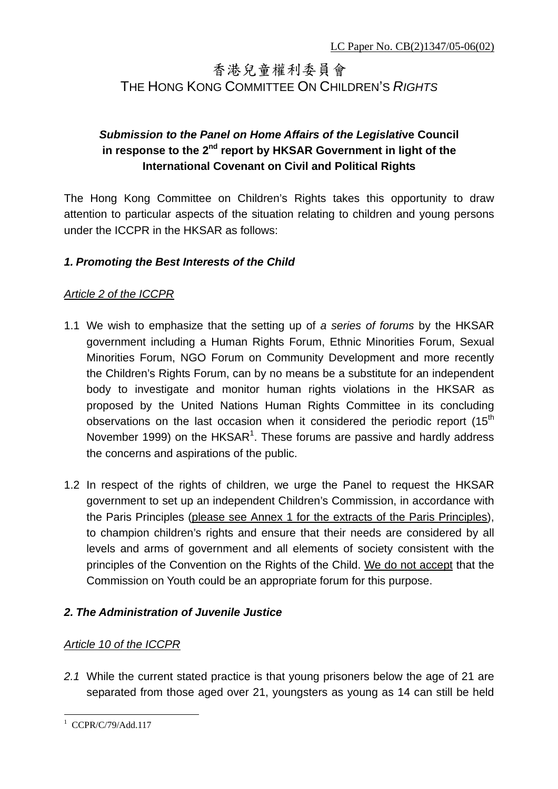# 香港兒童權利委員會 THE HONG KONG COMMITTEE ON CHILDREN'S *RIGHTS*

# *Submission to the Panel on Home Affairs of the Legislati***ve Council**  in response to the 2<sup>nd</sup> report by HKSAR Government in light of the **International Covenant on Civil and Political Rights**

The Hong Kong Committee on Children's Rights takes this opportunity to draw attention to particular aspects of the situation relating to children and young persons under the ICCPR in the HKSAR as follows:

# *1. Promoting the Best Interests of the Child*

## *Article 2 of the ICCPR*

- 1.1 We wish to emphasize that the setting up of *a series of forums* by the HKSAR government including a Human Rights Forum, Ethnic Minorities Forum, Sexual Minorities Forum, NGO Forum on Community Development and more recently the Children's Rights Forum, can by no means be a substitute for an independent body to investigate and monitor human rights violations in the HKSAR as proposed by the United Nations Human Rights Committee in its concluding observations on the last occasion when it considered the periodic report  $(15<sup>th</sup>$ November 1999) on the HKSAR<sup>1</sup>. These forums are passive and hardly address the concerns and aspirations of the public.
- 1.2 In respect of the rights of children, we urge the Panel to request the HKSAR government to set up an independent Children's Commission, in accordance with the Paris Principles (please see Annex 1 for the extracts of the Paris Principles), to champion children's rights and ensure that their needs are considered by all levels and arms of government and all elements of society consistent with the principles of the Convention on the Rights of the Child. We do not accept that the Commission on Youth could be an appropriate forum for this purpose.

## *2. The Administration of Juvenile Justice*

## *Article 10 of the ICCPR*

*2.1* While the current stated practice is that young prisoners below the age of 21 are separated from those aged over 21, youngsters as young as 14 can still be held

 $\overline{a}$ 1 CCPR/C/79/Add.117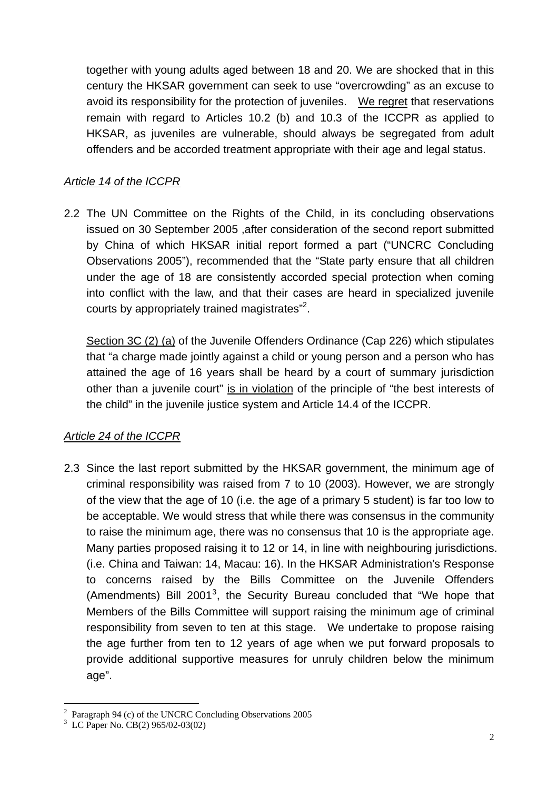together with young adults aged between 18 and 20. We are shocked that in this century the HKSAR government can seek to use "overcrowding" as an excuse to avoid its responsibility for the protection of juveniles. We regret that reservations remain with regard to Articles 10.2 (b) and 10.3 of the ICCPR as applied to HKSAR, as juveniles are vulnerable, should always be segregated from adult offenders and be accorded treatment appropriate with their age and legal status.

## *Article 14 of the ICCPR*

2.2 The UN Committee on the Rights of the Child, in its concluding observations issued on 30 September 2005 ,after consideration of the second report submitted by China of which HKSAR initial report formed a part ("UNCRC Concluding Observations 2005"), recommended that the "State party ensure that all children under the age of 18 are consistently accorded special protection when coming into conflict with the law, and that their cases are heard in specialized juvenile courts by appropriately trained magistrates"<sup>2</sup>.

Section 3C (2) (a) of the Juvenile Offenders Ordinance (Cap 226) which stipulates that "a charge made jointly against a child or young person and a person who has attained the age of 16 years shall be heard by a court of summary jurisdiction other than a juvenile court" is in violation of the principle of "the best interests of the child" in the juvenile justice system and Article 14.4 of the ICCPR.

## *Article 24 of the ICCPR*

2.3 Since the last report submitted by the HKSAR government, the minimum age of criminal responsibility was raised from 7 to 10 (2003). However, we are strongly of the view that the age of 10 (i.e. the age of a primary 5 student) is far too low to be acceptable. We would stress that while there was consensus in the community to raise the minimum age, there was no consensus that 10 is the appropriate age. Many parties proposed raising it to 12 or 14, in line with neighbouring jurisdictions. (i.e. China and Taiwan: 14, Macau: 16). In the HKSAR Administration's Response to concerns raised by the Bills Committee on the Juvenile Offenders (Amendments) Bill 2001<sup>3</sup>, the Security Bureau concluded that "We hope that Members of the Bills Committee will support raising the minimum age of criminal responsibility from seven to ten at this stage. We undertake to propose raising the age further from ten to 12 years of age when we put forward proposals to provide additional supportive measures for unruly children below the minimum age".

 $\overline{a}$ <sup>2</sup> Paragraph 94 (c) of the UNCRC Concluding Observations 2005

<sup>3</sup> LC Paper No. CB(2) 965/02-03(02)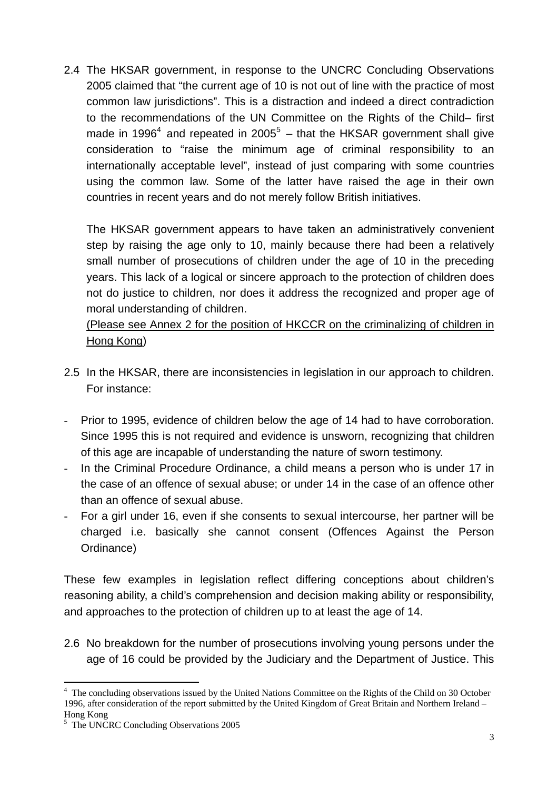2.4 The HKSAR government, in response to the UNCRC Concluding Observations 2005 claimed that "the current age of 10 is not out of line with the practice of most common law jurisdictions". This is a distraction and indeed a direct contradiction to the recommendations of the UN Committee on the Rights of the Child– first made in 1996<sup>4</sup> and repeated in 2005<sup>5</sup> – that the HKSAR government shall give consideration to "raise the minimum age of criminal responsibility to an internationally acceptable level", instead of just comparing with some countries using the common law. Some of the latter have raised the age in their own countries in recent years and do not merely follow British initiatives.

The HKSAR government appears to have taken an administratively convenient step by raising the age only to 10, mainly because there had been a relatively small number of prosecutions of children under the age of 10 in the preceding years. This lack of a logical or sincere approach to the protection of children does not do justice to children, nor does it address the recognized and proper age of moral understanding of children.

(Please see Annex 2 for the position of HKCCR on the criminalizing of children in Hong Kong)

- 2.5 In the HKSAR, there are inconsistencies in legislation in our approach to children. For instance:
- Prior to 1995, evidence of children below the age of 14 had to have corroboration. Since 1995 this is not required and evidence is unsworn, recognizing that children of this age are incapable of understanding the nature of sworn testimony.
- In the Criminal Procedure Ordinance, a child means a person who is under 17 in the case of an offence of sexual abuse; or under 14 in the case of an offence other than an offence of sexual abuse.
- For a girl under 16, even if she consents to sexual intercourse, her partner will be charged i.e. basically she cannot consent (Offences Against the Person Ordinance)

These few examples in legislation reflect differing conceptions about children's reasoning ability, a child's comprehension and decision making ability or responsibility, and approaches to the protection of children up to at least the age of 14.

2.6 No breakdown for the number of prosecutions involving young persons under the age of 16 could be provided by the Judiciary and the Department of Justice. This

 $\overline{a}$ 

<sup>&</sup>lt;sup>4</sup> The concluding observations issued by the United Nations Committee on the Rights of the Child on 30 October 1996, after consideration of the report submitted by the United Kingdom of Great Britain and Northern Ireland – Hong Kong

<sup>5</sup> The UNCRC Concluding Observations 2005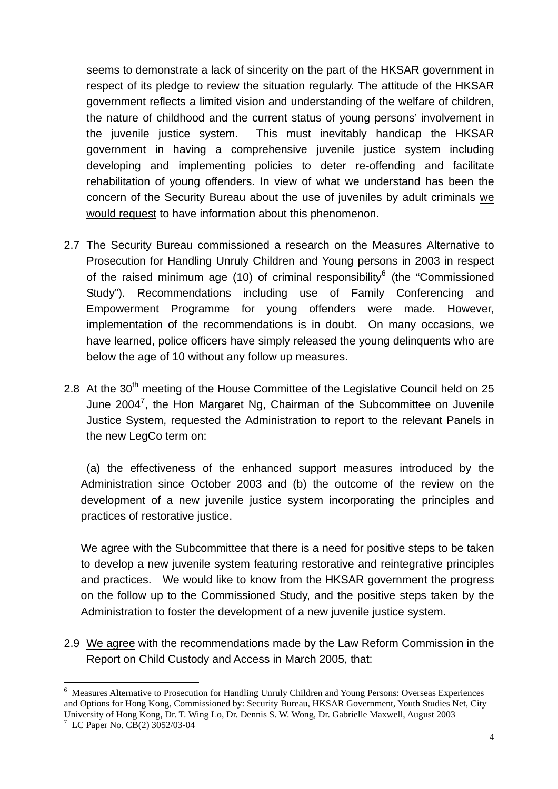seems to demonstrate a lack of sincerity on the part of the HKSAR government in respect of its pledge to review the situation regularly. The attitude of the HKSAR government reflects a limited vision and understanding of the welfare of children, the nature of childhood and the current status of young persons' involvement in the juvenile justice system. This must inevitably handicap the HKSAR government in having a comprehensive juvenile justice system including developing and implementing policies to deter re-offending and facilitate rehabilitation of young offenders. In view of what we understand has been the concern of the Security Bureau about the use of juveniles by adult criminals we would request to have information about this phenomenon.

- 2.7 The Security Bureau commissioned a research on the Measures Alternative to Prosecution for Handling Unruly Children and Young persons in 2003 in respect of the raised minimum age (10) of criminal responsibility<sup>6</sup> (the "Commissioned Study"). Recommendations including use of Family Conferencing and Empowerment Programme for young offenders were made. However, implementation of the recommendations is in doubt. On many occasions, we have learned, police officers have simply released the young delinquents who are below the age of 10 without any follow up measures.
- 2.8 At the 30<sup>th</sup> meeting of the House Committee of the Legislative Council held on 25 June 2004<sup>7</sup>, the Hon Margaret Ng, Chairman of the Subcommittee on Juvenile Justice System, requested the Administration to report to the relevant Panels in the new LegCo term on:

(a) the effectiveness of the enhanced support measures introduced by the Administration since October 2003 and (b) the outcome of the review on the development of a new juvenile justice system incorporating the principles and practices of restorative justice.

We agree with the Subcommittee that there is a need for positive steps to be taken to develop a new juvenile system featuring restorative and reintegrative principles and practices. We would like to know from the HKSAR government the progress on the follow up to the Commissioned Study, and the positive steps taken by the Administration to foster the development of a new juvenile justice system.

2.9 We agree with the recommendations made by the Law Reform Commission in the Report on Child Custody and Access in March 2005, that:

 $\overline{a}$ 

<sup>6</sup> Measures Alternative to Prosecution for Handling Unruly Children and Young Persons: Overseas Experiences and Options for Hong Kong, Commissioned by: Security Bureau, HKSAR Government, Youth Studies Net, City University of Hong Kong, Dr. T. Wing Lo, Dr. Dennis S. W. Wong, Dr. Gabrielle Maxwell, August 2003

<sup>7</sup> LC Paper No. CB(2) 3052/03-04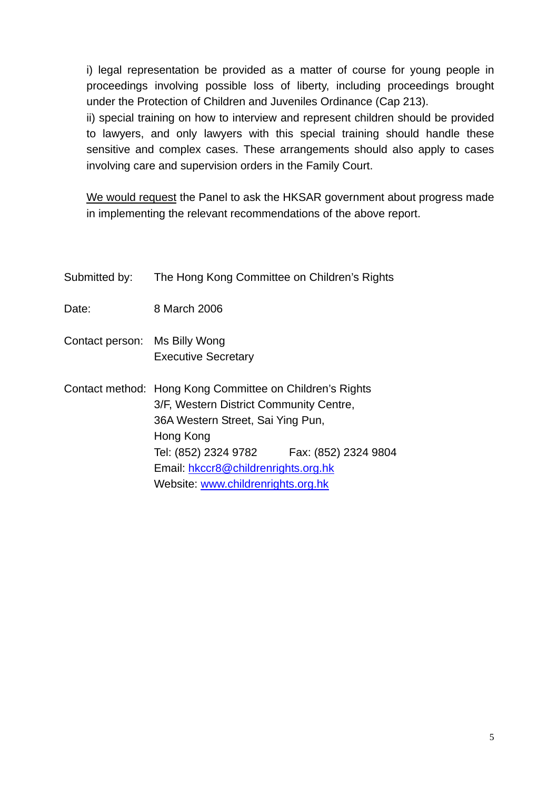i) legal representation be provided as a matter of course for young people in proceedings involving possible loss of liberty, including proceedings brought under the Protection of Children and Juveniles Ordinance (Cap 213).

ii) special training on how to interview and represent children should be provided to lawyers, and only lawyers with this special training should handle these sensitive and complex cases. These arrangements should also apply to cases involving care and supervision orders in the Family Court.

We would request the Panel to ask the HKSAR government about progress made in implementing the relevant recommendations of the above report.

| Submitted by:                 | The Hong Kong Committee on Children's Rights                                                                                                                                                                                                                                    |
|-------------------------------|---------------------------------------------------------------------------------------------------------------------------------------------------------------------------------------------------------------------------------------------------------------------------------|
| Date:                         | 8 March 2006                                                                                                                                                                                                                                                                    |
| Contact person: Ms Billy Wong | <b>Executive Secretary</b>                                                                                                                                                                                                                                                      |
|                               | Contact method: Hong Kong Committee on Children's Rights<br>3/F, Western District Community Centre,<br>36A Western Street, Sai Ying Pun,<br>Hong Kong<br>Tel: (852) 2324 9782 Fax: (852) 2324 9804<br>Email: hkccr8@childrenrights.org.hk<br>Website: www.childrenrights.org.hk |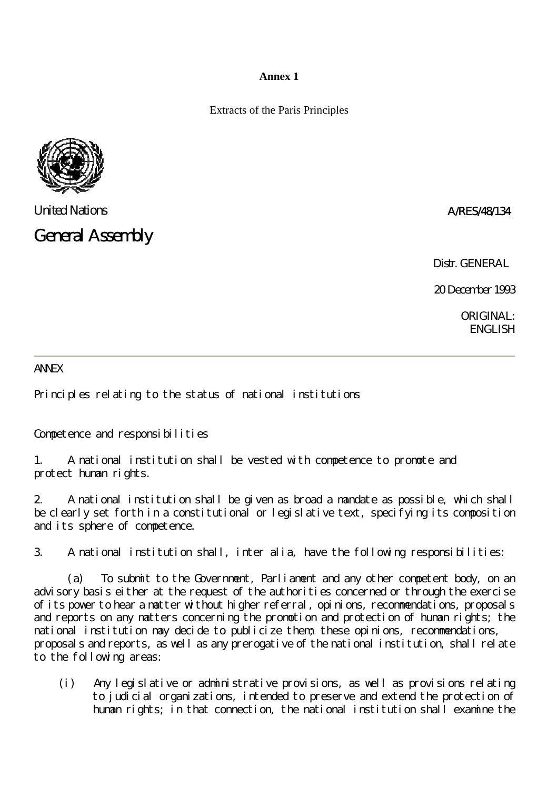#### **Annex 1**

Extracts of the Paris Principles



United Nations A/RES/48/134

General Assembly

Distr. GENERAL.

20 December 1993

ORIGINAL: ENGLISH

#### **ANNEX**

Principles relating to the status of national institutions

Competence and responsibilities

1. A national institution shall be vested with competence to promote and protect human rights.

2. A national institution shall be given as broad a mandate as possible, which shall be clearly set forth in a constitutional or legislative text, specifying its composition and its sphere of competence.

3. A national institution shall, inter alia, have the following responsibilities:

 (a) To submit to the Government, Parliament and any other competent body, on an advisory basis either at the request of the authorities concerned or through the exercise of its power to hear a matter without higher referral, opinions, recommendations, proposals and reports on any matters concerning the promotion and protection of human rights; the national institution may decide to publicize them; these opinions, recommendations, proposals and reports, as well as any prerogative of the national institution, shall relate to the following areas:

(i) Any legislative or administrative provisions, as well as provisions relating to judicial organizations, intended to preserve and extend the protection of human rights; in that connection, the national institution shall examine the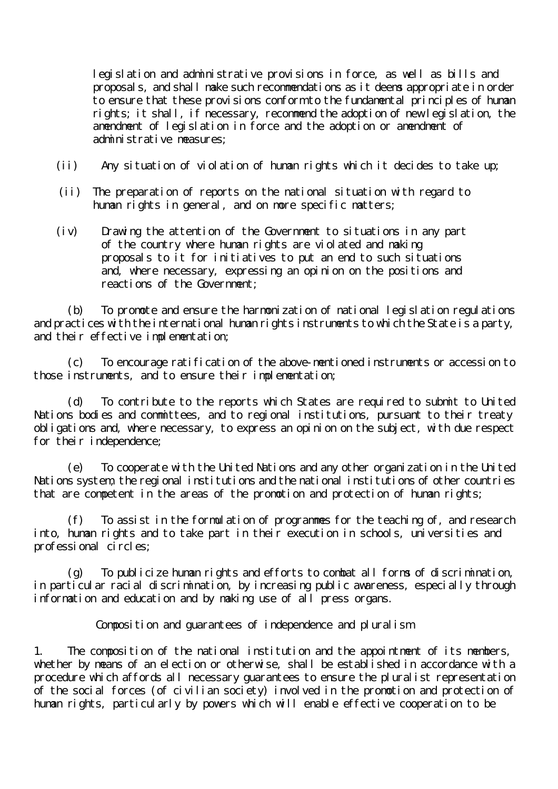legislation and administrative provisions in force, as well as bills and proposals, and shall make such recommendations as it deems appropriate in order to ensure that these provisions conform to the fundamental principles of human rights; it shall, if necessary, recommend the adoption of new legislation, the amendment of legislation in force and the adoption or amendment of administrative measures;

- (ii) Any situation of violation of human rights which it decides to take up;
- (ii) The preparation of reports on the national situation with regard to human rights in general, and on more specific matters;
- (iv) Drawing the attention of the Government to situations in any part of the country where human rights are violated and making proposals to it for initiatives to put an end to such situations and, where necessary, expressing an opinion on the positions and reactions of the Government:

 (b) To promote and ensure the harmonization of national legislation regulations and practices with the international human rights instruments to which the State is a party, and their effective implementation;

 (c) To encourage ratification of the above-mentioned instruments or accession to those instruments, and to ensure their implementation;

 (d) To contribute to the reports which States are required to submit to United Nations bodies and committees, and to regional institutions, pursuant to their treaty obligations and, where necessary, to express an opinion on the subject, with due respect for their independence;

 (e) To cooperate with the United Nations and any other organization in the United Nations system, the regional institutions and the national institutions of other countries that are competent in the areas of the promotion and protection of human rights;

 (f) To assist in the formulation of programmes for the teaching of, and research into, human rights and to take part in their execution in schools, universities and professional circles;

 (g) To publicize human rights and efforts to combat all forms of discrimination, in particular racial discrimination, by increasing public awareness, especially through information and education and by making use of all press organs.

Composition and guarantees of independence and pluralism

1. The composition of the national institution and the appointment of its members, whether by means of an election or otherwise, shall be established in accordance with a procedure which affords all necessary guarantees to ensure the pluralist representation of the social forces (of civilian society) involved in the promotion and protection of human rights, particularly by powers which will enable effective cooperation to be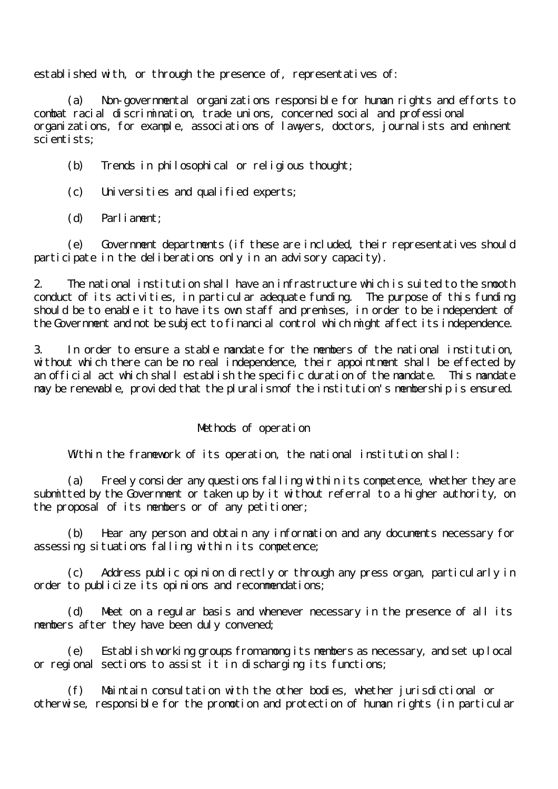established with, or through the presence of, representatives of:

 (a) Non-governmental organizations responsible for human rights and efforts to combat racial discrimination, trade unions, concerned social and professional organizations, for example, associations of lawyers, doctors, journalists and eminent scientists;

(b) Trends in philosophical or religious thought;

- (c) Universities and qualified experts;
- (d) Parliament;

 (e) Government departments (if these are included, their representatives should participate in the deliberations only in an advisory capacity).

2. The national institution shall have an infrastructure which is suited to the smooth conduct of its activities, in particular adequate funding. The purpose of this funding should be to enable it to have its own staff and premises, in order to be independent of the Government and not be subject to financial control which might affect its independence.

3. In order to ensure a stable mandate for the members of the national institution, without which there can be no real independence, their appointment shall be effected by an official act which shall establish the specific duration of the mandate. This mandate may be renewable, provided that the pluralism of the institution's membership is ensured.

#### Methods of operation

Within the framework of its operation, the national institution shall:

Freely consider any questions falling within its competence, whether they are submitted by the Government or taken up by it without referral to a higher authority, on the proposal of its members or of any petitioner;

 (b) Hear any person and obtain any information and any documents necessary for assessing situations falling within its competence;

 (c) Address public opinion directly or through any press organ, particularly in order to publicize its opinions and recommendations;

 (d) Meet on a regular basis and whenever necessary in the presence of all its members after they have been duly convened;

 (e) Establish working groups from among its members as necessary, and set up local or regional sections to assist it in discharging its functions;

 (f) Maintain consultation with the other bodies, whether jurisdictional or otherwise, responsible for the promotion and protection of human rights (in particular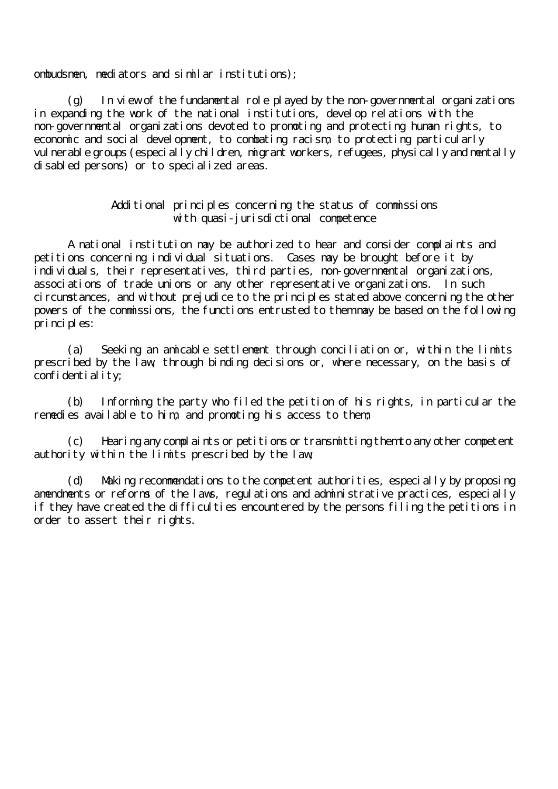ombudsmen, mediators and similar institutions);

 $(g)$  In view of the fundamental role played by the non-governmental organizations in expanding the work of the national institutions, develop relations with the non-governmental organizations devoted to promoting and protecting human rights, to economic and social development, to combating racism, to protecting particularly vul nerable groups (especially children, migrant workers, refugees, physically and mentally disabled persons) or to specialized areas.

#### Additional principles concerning the status of commissions with quasi-jurisdictional competence

 A national institution may be authorized to hear and consider complaints and petitions concerning individual situations. Cases may be brought before it by individuals, their representatives, third parties, non-governmental organizations, associations of trade unions or any other representative organizations. In such circumstances, and without prejudice to the principles stated above concerning the other powers of the commissions, the functions entrusted to them may be based on the following principles:

 (a) Seeking an amicable settlement through conciliation or, within the limits prescribed by the law, through binding decisions or, where necessary, on the basis of confidentiality;

 (b) Informing the party who filed the petition of his rights, in particular the remedies available to him, and promoting his access to them;

 (c) Hearing any complaints or petitions or transmitting them to any other competent authority within the limits prescribed by the law;

 (d) Making recommendations to the competent authorities, especially by proposing amendments or reforms of the laws, regulations and administrative practices, especially if they have created the difficulties encountered by the persons filing the petitions in order to assert their rights.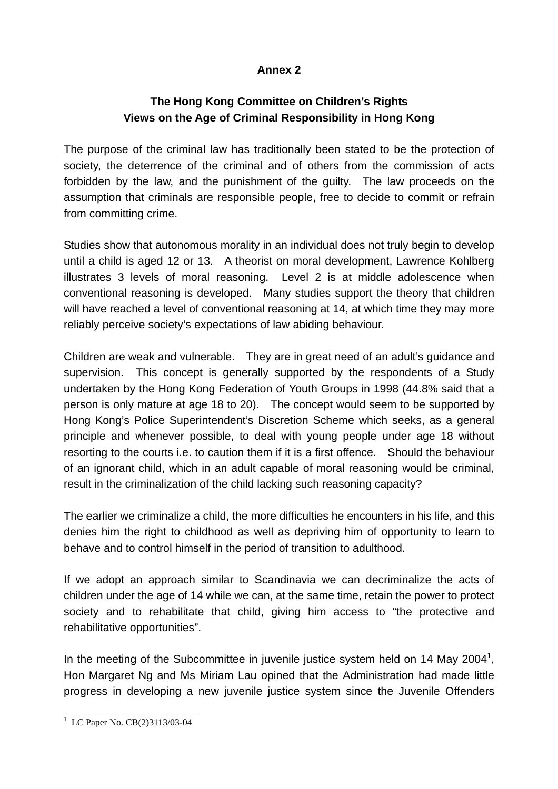# **Annex 2**

# **The Hong Kong Committee on Children's Rights Views on the Age of Criminal Responsibility in Hong Kong**

The purpose of the criminal law has traditionally been stated to be the protection of society, the deterrence of the criminal and of others from the commission of acts forbidden by the law, and the punishment of the guilty. The law proceeds on the assumption that criminals are responsible people, free to decide to commit or refrain from committing crime.

Studies show that autonomous morality in an individual does not truly begin to develop until a child is aged 12 or 13. A theorist on moral development, Lawrence Kohlberg illustrates 3 levels of moral reasoning. Level 2 is at middle adolescence when conventional reasoning is developed. Many studies support the theory that children will have reached a level of conventional reasoning at 14, at which time they may more reliably perceive society's expectations of law abiding behaviour.

Children are weak and vulnerable. They are in great need of an adult's guidance and supervision. This concept is generally supported by the respondents of a Study undertaken by the Hong Kong Federation of Youth Groups in 1998 (44.8% said that a person is only mature at age 18 to 20). The concept would seem to be supported by Hong Kong's Police Superintendent's Discretion Scheme which seeks, as a general principle and whenever possible, to deal with young people under age 18 without resorting to the courts i.e. to caution them if it is a first offence. Should the behaviour of an ignorant child, which in an adult capable of moral reasoning would be criminal, result in the criminalization of the child lacking such reasoning capacity?

The earlier we criminalize a child, the more difficulties he encounters in his life, and this denies him the right to childhood as well as depriving him of opportunity to learn to behave and to control himself in the period of transition to adulthood.

If we adopt an approach similar to Scandinavia we can decriminalize the acts of children under the age of 14 while we can, at the same time, retain the power to protect society and to rehabilitate that child, giving him access to "the protective and rehabilitative opportunities".

In the meeting of the Subcommittee in juvenile justice system held on 14 May 2004<sup>1</sup>, Hon Margaret Ng and Ms Miriam Lau opined that the Administration had made little progress in developing a new juvenile justice system since the Juvenile Offenders

 $\overline{a}$ <sup>1</sup> LC Paper No. CB(2)3113/03-04